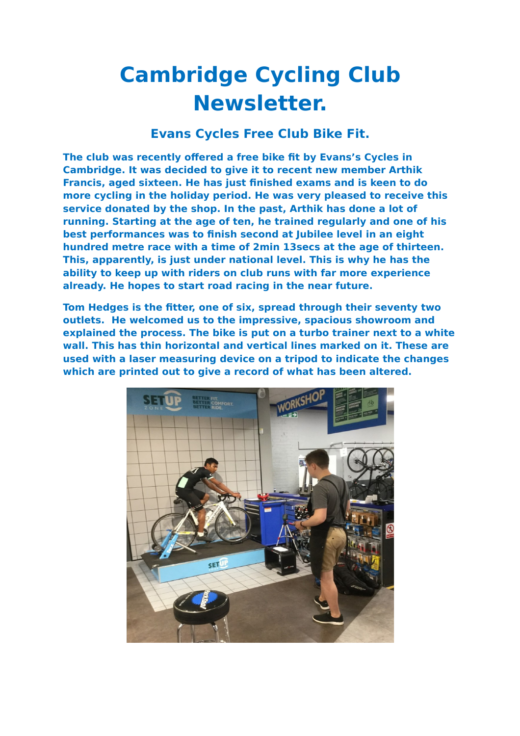## **Cambridge Cycling Club Newsletter.**

## **Evans Cycles Free Club Bike Fit.**

**The club was recently offered a free bike fit by Evans's Cycles in Cambridge. It was decided to give it to recent new member Arthik Francis, aged sixteen. He has just finished exams and is keen to do more cycling in the holiday period. He was very pleased to receive this service donated by the shop. In the past, Arthik has done a lot of running. Starting at the age of ten, he trained regularly and one of his best performances was to finish second at Jubilee level in an eight hundred metre race with a time of 2min 13secs at the age of thirteen. This, apparently, is just under national level. This is why he has the ability to keep up with riders on club runs with far more experience already. He hopes to start road racing in the near future.**

**Tom Hedges is the fitter, one of six, spread through their seventy two outlets. He welcomed us to the impressive, spacious showroom and explained the process. The bike is put on a turbo trainer next to a white wall. This has thin horizontal and vertical lines marked on it. These are used with a laser measuring device on a tripod to indicate the changes which are printed out to give a record of what has been altered.**

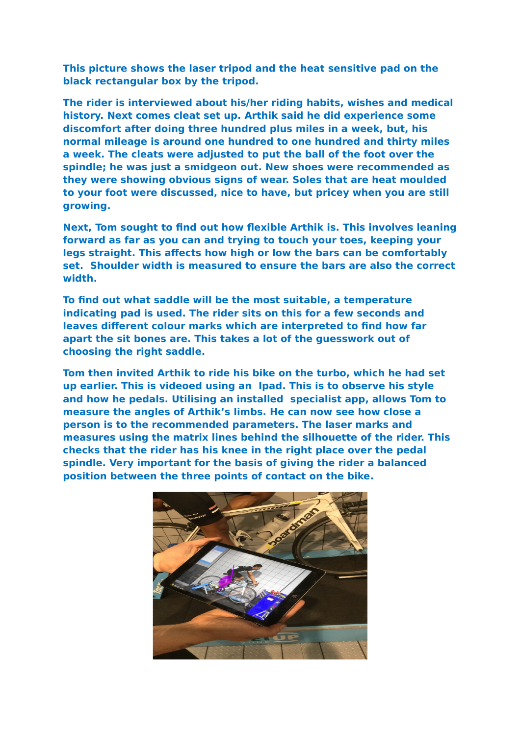**This picture shows the laser tripod and the heat sensitive pad on the black rectangular box by the tripod.** 

**The rider is interviewed about his/her riding habits, wishes and medical history. Next comes cleat set up. Arthik said he did experience some discomfort after doing three hundred plus miles in a week, but, his normal mileage is around one hundred to one hundred and thirty miles a week. The cleats were adjusted to put the ball of the foot over the spindle; he was just a smidgeon out. New shoes were recommended as they were showing obvious signs of wear. Soles that are heat moulded to your foot were discussed, nice to have, but pricey when you are still growing.**

**Next, Tom sought to find out how flexible Arthik is. This involves leaning forward as far as you can and trying to touch your toes, keeping your legs straight. This affects how high or low the bars can be comfortably set. Shoulder width is measured to ensure the bars are also the correct width.** 

**To find out what saddle will be the most suitable, a temperature indicating pad is used. The rider sits on this for a few seconds and leaves different colour marks which are interpreted to find how far apart the sit bones are. This takes a lot of the guesswork out of choosing the right saddle.** 

**Tom then invited Arthik to ride his bike on the turbo, which he had set up earlier. This is videoed using an Ipad. This is to observe his style and how he pedals. Utilising an installed specialist app, allows Tom to measure the angles of Arthik's limbs. He can now see how close a person is to the recommended parameters. The laser marks and measures using the matrix lines behind the silhouette of the rider. This checks that the rider has his knee in the right place over the pedal spindle. Very important for the basis of giving the rider a balanced position between the three points of contact on the bike.**

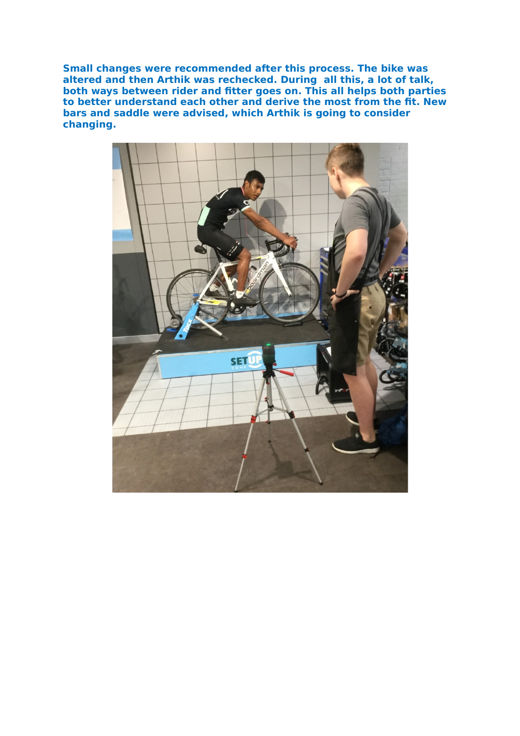**Small changes were recommended after this process. The bike was altered and then Arthik was rechecked. During all this, a lot of talk, both ways between rider and fitter goes on. This all helps both parties to better understand each other and derive the most from the fit. New bars and saddle were advised, which Arthik is going to consider changing.**

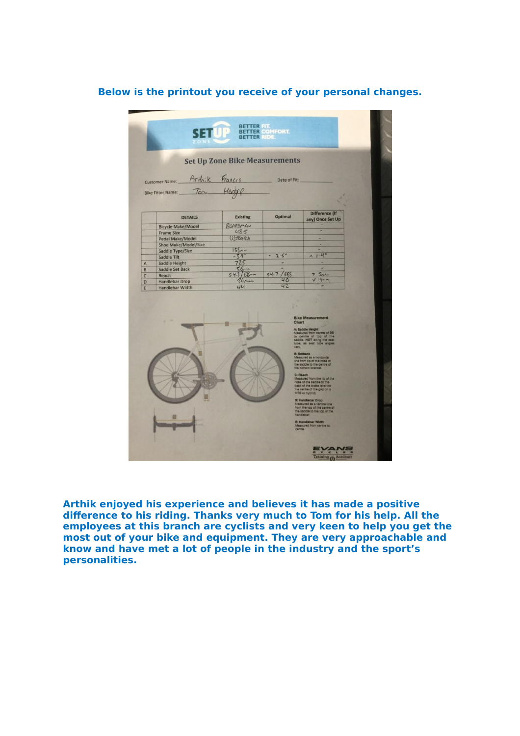## **Below is the printout you receive of your personal changes.**

|                | Arthik<br>Customer Name:            | Francis         | Date of Fit:   |                                           |  |
|----------------|-------------------------------------|-----------------|----------------|-------------------------------------------|--|
|                |                                     | Hedgep          |                |                                           |  |
|                | Bike Fitter Name: Ton               |                 |                |                                           |  |
|                |                                     |                 |                |                                           |  |
|                | <b>DETAILS</b>                      | <b>Existing</b> | <b>Optimal</b> | <b>Difference (If</b><br>any) Once Set Up |  |
|                | <b>Bicycle Make/Model</b>           | BOARDMAN        |                |                                           |  |
|                | <b>Frame Size</b>                   | 48.5            |                |                                           |  |
|                | Pedal Make/Model                    | ULTEGRA         |                |                                           |  |
|                | <b>Shoe Make/Model/Size</b>         | $158 - 1$       |                | ٠                                         |  |
|                | Saddle Type/Size                    | $-3.9$          | 2.5°           | 1.4                                       |  |
| $\overline{A}$ | Saddle Tilt<br><b>Saddle Height</b> | 725             |                |                                           |  |
| B              | <b>Saddle Set Back</b>              | $56 -$          |                |                                           |  |
| $\overline{C}$ | Reach                               | $54.2/68-$      | /685<br>54.7   | 7.5mm                                     |  |
| D              | <b>Handlebar Drop</b>               | $26$ nn         | 40             | V14m                                      |  |
| E              | <b>Handlebar Width</b>              | UU              | 42             |                                           |  |
|                |                                     |                 | Chart          | <b>Bike Measurement</b>                   |  |

**Arthik enjoyed his experience and believes it has made a positive difference to his riding. Thanks very much to Tom for his help. All the employees at this branch are cyclists and very keen to help you get the most out of your bike and equipment. They are very approachable and know and have met a lot of people in the industry and the sport's personalities.**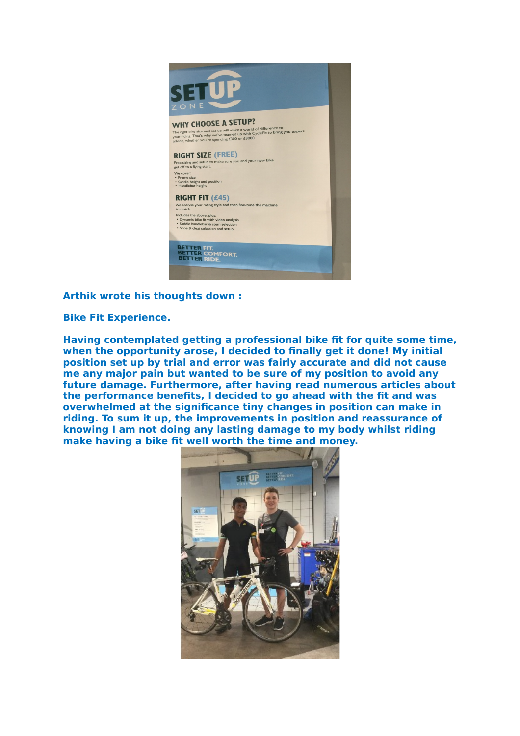

**Arthik wrote his thoughts down :**

**Bike Fit Experience.**

**Having contemplated getting a professional bike fit for quite some time, when the opportunity arose, I decided to finally get it done! My initial position set up by trial and error was fairly accurate and did not cause me any major pain but wanted to be sure of my position to avoid any future damage. Furthermore, after having read numerous articles about the performance benefits, I decided to go ahead with the fit and was overwhelmed at the significance tiny changes in position can make in riding. To sum it up, the improvements in position and reassurance of knowing I am not doing any lasting damage to my body whilst riding make having a bike fit well worth the time and money.**